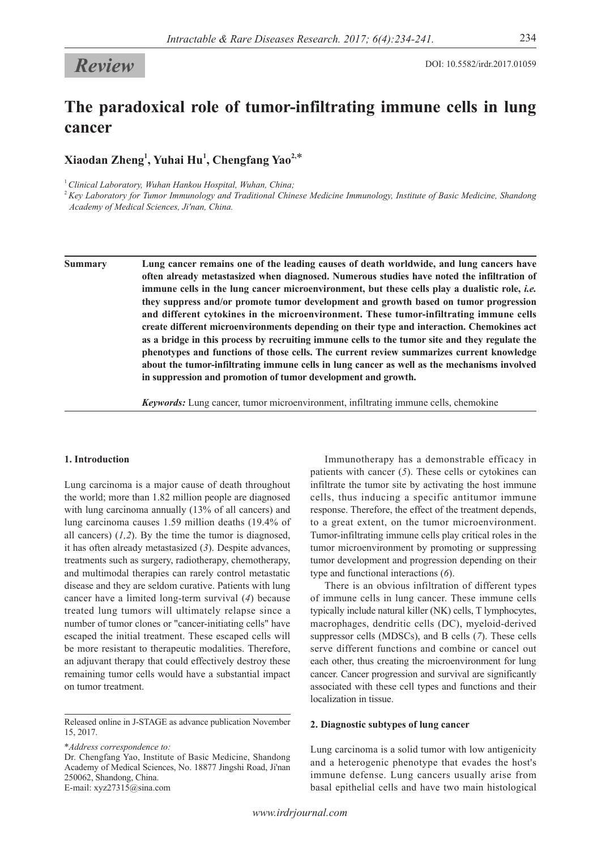# **The paradoxical role of tumor-infiltrating immune cells in lung cancer**

**Xiaodan Zheng<sup>1</sup> , Yuhai Hu1 , Chengfang Yao2,**\*

<sup>1</sup>*Clinical Laboratory, Wuhan Hankou Hospital, Wuhan, China;*

<sup>2</sup>*Key Laboratory for Tumor Immunology and Traditional Chinese Medicine Immunology, Institute of Basic Medicine, Shandong Academy of Medical Sciences, Ji'nan, China.*

**Summary Lung cancer remains one of the leading causes of death worldwide, and lung cancers have often already metastasized when diagnosed. Numerous studies have noted the infiltration of immune cells in the lung cancer microenvironment, but these cells play a dualistic role,** *i.e.*  **they suppress and/or promote tumor development and growth based on tumor progression and different cytokines in the microenvironment. These tumor-infiltrating immune cells create different microenvironments depending on their type and interaction. Chemokines act as a bridge in this process by recruiting immune cells to the tumor site and they regulate the phenotypes and functions of those cells. The current review summarizes current knowledge about the tumor-infiltrating immune cells in lung cancer as well as the mechanisms involved in suppression and promotion of tumor development and growth.**

*Keywords:* Lung cancer, tumor microenvironment, infiltrating immune cells, chemokine

# **1. Introduction**

Lung carcinoma is a major cause of death throughout the world; more than 1.82 million people are diagnosed with lung carcinoma annually (13% of all cancers) and lung carcinoma causes 1.59 million deaths (19.4% of all cancers)  $(1,2)$ . By the time the tumor is diagnosed, it has often already metastasized (*3*). Despite advances, treatments such as surgery, radiotherapy, chemotherapy, and multimodal therapies can rarely control metastatic disease and they are seldom curative. Patients with lung cancer have a limited long-term survival (*4*) because treated lung tumors will ultimately relapse since a number of tumor clones or "cancer-initiating cells" have escaped the initial treatment. These escaped cells will be more resistant to therapeutic modalities. Therefore, an adjuvant therapy that could effectively destroy these remaining tumor cells would have a substantial impact on tumor treatment.

\**Address correspondence to:* Dr. Chengfang Yao, Institute of Basic Medicine, Shandong Academy of Medical Sciences, No. 18877 Jingshi Road, Ji'nan 250062, Shandong, China.

E-mail: xyz27315@sina.com

Immunotherapy has a demonstrable efficacy in patients with cancer (*5*). These cells or cytokines can infiltrate the tumor site by activating the host immune cells, thus inducing a specific antitumor immune response. Therefore, the effect of the treatment depends, to a great extent, on the tumor microenvironment. Tumor-infiltrating immune cells play critical roles in the tumor microenvironment by promoting or suppressing tumor development and progression depending on their type and functional interactions (*6*).

There is an obvious infiltration of different types of immune cells in lung cancer. These immune cells typically include natural killer (NK) cells, T lymphocytes, macrophages, dendritic cells (DC), myeloid-derived suppressor cells (MDSCs), and B cells (*7*). These cells serve different functions and combine or cancel out each other, thus creating the microenvironment for lung cancer. Cancer progression and survival are significantly associated with these cell types and functions and their localization in tissue.

# **2. Diagnostic subtypes of lung cancer**

Lung carcinoma is a solid tumor with low antigenicity and a heterogenic phenotype that evades the host's immune defense. Lung cancers usually arise from basal epithelial cells and have two main histological

Released online in J-STAGE as advance publication November 15, 2017.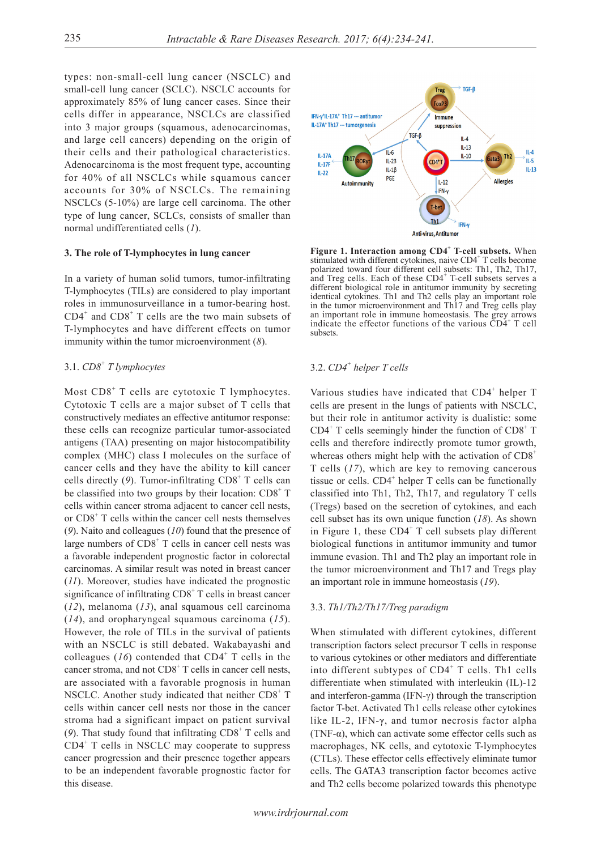types: non-small-cell lung cancer (NSCLC) and small-cell lung cancer (SCLC). NSCLC accounts for approximately 85% of lung cancer cases. Since their cells differ in appearance, NSCLCs are classified into 3 major groups (squamous, adenocarcinomas, and large cell cancers) depending on the origin of their cells and their pathological characteristics. Adenocarcinoma is the most frequent type, accounting for 40% of all NSCLCs while squamous cancer accounts for 30% of NSCLCs. The remaining NSCLCs (5-10%) are large cell carcinoma. The other type of lung cancer, SCLCs, consists of smaller than normal undifferentiated cells (*1*).

#### **3. The role of T-lymphocytes in lung cancer**

In a variety of human solid tumors, tumor-infiltrating T-lymphocytes (TILs) are considered to play important roles in immunosurveillance in a tumor-bearing host.  $CD4^+$  and  $CD8^+$  T cells are the two main subsets of T-lymphocytes and have different effects on tumor immunity within the tumor microenvironment (*8*).

# 3.1. *CD8<sup>+</sup> T lymphocytes*

Most CD8<sup>+</sup> T cells are cytotoxic T lymphocytes. Cytotoxic T cells are a major subset of T cells that constructively mediates an effective antitumor response: these cells can recognize particular tumor-associated antigens (TAA) presenting on major histocompatibility complex (MHC) class I molecules on the surface of cancer cells and they have the ability to kill cancer cells directly (9). Tumor-infiltrating CD8<sup>+</sup> T cells can be classified into two groups by their location:  $CD8<sup>+</sup> T$ cells within cancer stroma adjacent to cancer cell nests, or CD8<sup>+</sup> T cells within the cancer cell nests themselves (*9*). Naito and colleagues (*10*) found that the presence of large numbers of CD8<sup>+</sup> T cells in cancer cell nests was a favorable independent prognostic factor in colorectal carcinomas. A similar result was noted in breast cancer (*11*). Moreover, studies have indicated the prognostic significance of infiltrating CD8<sup>+</sup> T cells in breast cancer (*12*), melanoma (*13*), anal squamous cell carcinoma (*14*), and oropharyngeal squamous carcinoma (*15*). However, the role of TILs in the survival of patients with an NSCLC is still debated. Wakabayashi and colleagues  $(16)$  contended that CD4<sup>+</sup> T cells in the cancer stroma, and not  $CDS^+$  T cells in cancer cell nests, are associated with a favorable prognosis in human NSCLC. Another study indicated that neither CD8+ T cells within cancer cell nests nor those in the cancer stroma had a significant impact on patient survival (9). That study found that infiltrating CD8<sup>+</sup> T cells and CD4<sup>+</sup> T cells in NSCLC may cooperate to suppress cancer progression and their presence together appears to be an independent favorable prognostic factor for this disease.



**Figure 1. Interaction among CD4<sup>+</sup> T-cell subsets.** When stimulated with different cytokines, naive CD4<sup>+</sup> T cells become polarized toward four different cell subsets: Th1, Th2, Th17, and Treg cells. Each of these CD4<sup>+</sup> T-cell subsets serves a different biological role in antitumor immunity by secreting identical cytokines. Th1 and Th2 cells play an important role in the tumor microenvironment and Th17 and Treg cells play an important role in immune homeostasis. The grey arrows indicate the effector functions of the various  $\overrightarrow{CD4}^+$  T cell subsets.

# 3.2. *CD4<sup>+</sup> helper T cells*

Various studies have indicated that CD4<sup>+</sup> helper T cells are present in the lungs of patients with NSCLC, but their role in antitumor activity is dualistic: some CD4<sup>+</sup> T cells seemingly hinder the function of CD8<sup>+</sup> T cells and therefore indirectly promote tumor growth, whereas others might help with the activation of  $CD8<sup>+</sup>$ T cells (*17*), which are key to removing cancerous tissue or cells.  $CD4^+$  helper T cells can be functionally classified into Th1, Th2, Th17, and regulatory T cells (Tregs) based on the secretion of cytokines, and each cell subset has its own unique function (*18*). As shown in Figure 1, these  $CD4^+$  T cell subsets play different biological functions in antitumor immunity and tumor immune evasion. Th1 and Th2 play an important role in the tumor microenvironment and Th17 and Tregs play an important role in immune homeostasis (*19*).

#### 3.3. *Th1/Th2/Th17/Treg paradigm*

When stimulated with different cytokines, different transcription factors select precursor T cells in response to various cytokines or other mediators and differentiate into different subtypes of  $CD4^+$  T cells. Th1 cells differentiate when stimulated with interleukin (IL)-12 and interferon-gamma (IFN-γ) through the transcription factor T-bet. Activated Th1 cells release other cytokines like IL-2, IFN-γ, and tumor necrosis factor alpha (TNF- $\alpha$ ), which can activate some effector cells such as macrophages, NK cells, and cytotoxic T-lymphocytes (CTLs). These effector cells effectively eliminate tumor cells. The GATA3 transcription factor becomes active and Th2 cells become polarized towards this phenotype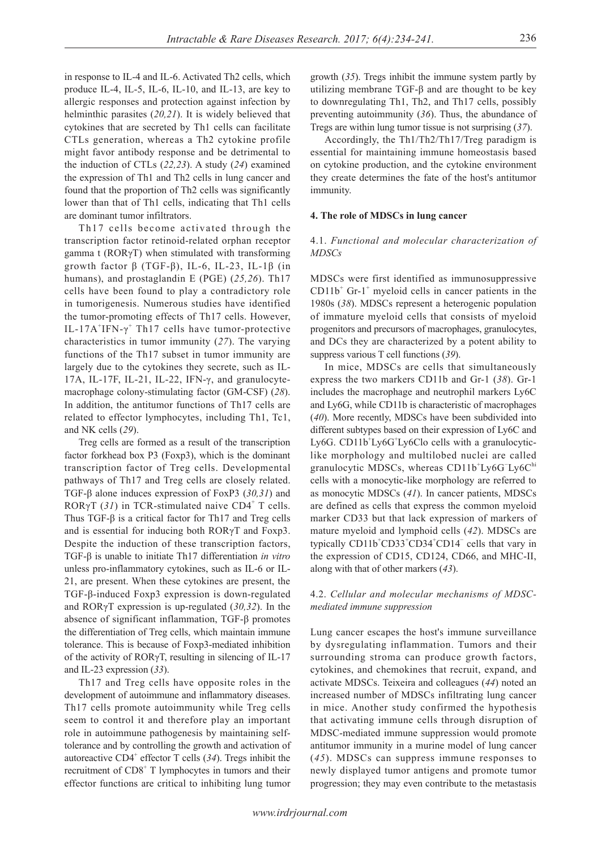in response to IL-4 and IL-6. Activated Th2 cells, which produce IL-4, IL-5, IL-6, IL-10, and IL-13, are key to allergic responses and protection against infection by helminthic parasites (*20,21*). It is widely believed that cytokines that are secreted by Th1 cells can facilitate CTLs generation, whereas a Th2 cytokine profile might favor antibody response and be detrimental to the induction of CTLs (*22,23*). A study (*24*) examined the expression of Th1 and Th2 cells in lung cancer and found that the proportion of Th2 cells was significantly lower than that of Th1 cells, indicating that Th1 cells are dominant tumor infiltrators.

Th17 cells become activated through the transcription factor retinoid-related orphan receptor gamma t (RORγT) when stimulated with transforming growth factor β (TGF-β), IL-6, IL-23, IL-1β (in humans), and prostaglandin E (PGE) (*25,26*). Th17 cells have been found to play a contradictory role in tumorigenesis. Numerous studies have identified the tumor-promoting effects of Th17 cells. However, IL-17A<sup>+</sup>IFN- $\gamma$ <sup>+</sup> Th17 cells have tumor-protective characteristics in tumor immunity (*27*). The varying functions of the Th17 subset in tumor immunity are largely due to the cytokines they secrete, such as IL-17A, IL-17F, IL-21, IL-22, IFN-γ, and granulocytemacrophage colony-stimulating factor (GM-CSF) (*28*). In addition, the antitumor functions of Th17 cells are related to effector lymphocytes, including Th1, Tc1, and NK cells (*29*).

Treg cells are formed as a result of the transcription factor forkhead box P3 (Foxp3), which is the dominant transcription factor of Treg cells. Developmental pathways of Th17 and Treg cells are closely related. TGF-β alone induces expression of FoxP3 (*30,31*) and ROR $\gamma$ T (31) in TCR-stimulated naive CD4<sup>+</sup> T cells. Thus TGF-β is a critical factor for Th17 and Treg cells and is essential for inducing both RORγT and Foxp3. Despite the induction of these transcription factors, TGF-β is unable to initiate Th17 differentiation *in vitro* unless pro-inflammatory cytokines, such as IL-6 or IL-21, are present. When these cytokines are present, the TGF-β-induced Foxp3 expression is down-regulated and RORγT expression is up-regulated (*30,32*). In the absence of significant inflammation, TGF-β promotes the differentiation of Treg cells, which maintain immune tolerance. This is because of Foxp3-mediated inhibition of the activity of RORγT, resulting in silencing of IL-17 and IL-23 expression (*33*).

Th17 and Treg cells have opposite roles in the development of autoimmune and inflammatory diseases. Th17 cells promote autoimmunity while Treg cells seem to control it and therefore play an important role in autoimmune pathogenesis by maintaining selftolerance and by controlling the growth and activation of autoreactive CD4<sup>+</sup> effector T cells (34). Tregs inhibit the recruitment of CD8<sup>+</sup> T lymphocytes in tumors and their effector functions are critical to inhibiting lung tumor

growth (*35*). Tregs inhibit the immune system partly by utilizing membrane TGF-β and are thought to be key to downregulating Th1, Th2, and Th17 cells, possibly preventing autoimmunity (*36*). Thus, the abundance of Tregs are within lung tumor tissue is not surprising (*37*).

Accordingly, the Th1/Th2/Th17/Treg paradigm is essential for maintaining immune homeostasis based on cytokine production, and the cytokine environment they create determines the fate of the host's antitumor immunity.

# **4. The role of MDSCs in lung cancer**

# 4.1. *Functional and molecular characterization of MDSCs*

MDSCs were first identified as immunosuppressive  $CD11b<sup>+</sup>$  Gr-1<sup>+</sup> myeloid cells in cancer patients in the 1980s (*38*). MDSCs represent a heterogenic population of immature myeloid cells that consists of myeloid progenitors and precursors of macrophages, granulocytes, and DCs they are characterized by a potent ability to suppress various T cell functions (*39*).

In mice, MDSCs are cells that simultaneously express the two markers CD11b and Gr-1 (*38*). Gr-1 includes the macrophage and neutrophil markers Ly6C and Ly6G, while CD11b is characteristic of macrophages (*40*). More recently, MDSCs have been subdivided into different subtypes based on their expression of Ly6C and Ly6G. CD11b+Ly6G+Ly6Clo cells with a granulocyticlike morphology and multilobed nuclei are called granulocytic MDSCs, whereas CD11b+Ly6G Ly6Chi cells with a monocytic-like morphology are referred to as monocytic MDSCs (*41*). In cancer patients, MDSCs are defined as cells that express the common myeloid marker CD33 but that lack expression of markers of mature myeloid and lymphoid cells (*42*). MDSCs are typically CD11b<sup>+</sup>CD33<sup>+</sup>CD34<sup>+</sup>CD14<sup>-</sup> cells that vary in the expression of CD15, CD124, CD66, and MHC-II, along with that of other markers (*43*).

# 4.2. *Cellular and molecular mechanisms of MDSCmediated immune suppression*

Lung cancer escapes the host's immune surveillance by dysregulating inflammation. Tumors and their surrounding stroma can produce growth factors, cytokines, and chemokines that recruit, expand, and activate MDSCs. Teixeira and colleagues (*44*) noted an increased number of MDSCs infiltrating lung cancer in mice. Another study confirmed the hypothesis that activating immune cells through disruption of MDSC-mediated immune suppression would promote antitumor immunity in a murine model of lung cancer (*45*). MDSCs can suppress immune responses to newly displayed tumor antigens and promote tumor progression; they may even contribute to the metastasis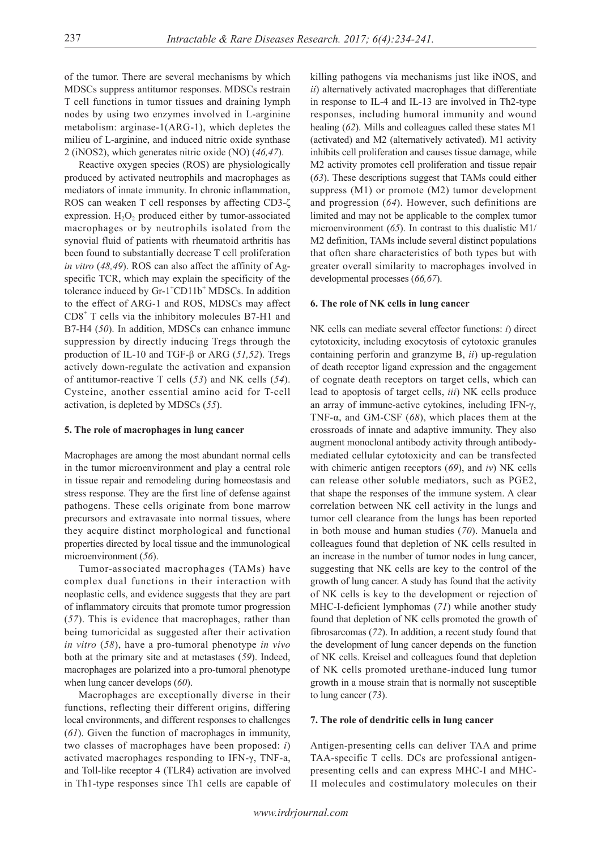of the tumor. There are several mechanisms by which MDSCs suppress antitumor responses. MDSCs restrain T cell functions in tumor tissues and draining lymph nodes by using two enzymes involved in L-arginine metabolism: arginase-1(ARG-1), which depletes the milieu of L-arginine, and induced nitric oxide synthase 2 (iNOS2), which generates nitric oxide (NO) (*46,47*).

Reactive oxygen species (ROS) are physiologically produced by activated neutrophils and macrophages as mediators of innate immunity. In chronic inflammation, ROS can weaken T cell responses by affecting CD3-ζ expression.  $H_2O_2$  produced either by tumor-associated macrophages or by neutrophils isolated from the synovial fluid of patients with rheumatoid arthritis has been found to substantially decrease T cell proliferation *in vitro* (*48,49*). ROS can also affect the affinity of Agspecific TCR, which may explain the specificity of the tolerance induced by Gr-1<sup>+</sup>CD11b<sup>+</sup> MDSCs. In addition to the effect of ARG-1 and ROS, MDSCs may affect CD8<sup>+</sup> T cells via the inhibitory molecules B7-H1 and B7-H4 (*50*). In addition, MDSCs can enhance immune suppression by directly inducing Tregs through the production of IL-10 and TGF-β or ARG (*51,52*). Tregs actively down-regulate the activation and expansion of antitumor-reactive T cells (*53*) and NK cells (*54*). Cysteine, another essential amino acid for T-cell activation, is depleted by MDSCs (*55*).

#### **5. The role of macrophages in lung cancer**

Macrophages are among the most abundant normal cells in the tumor microenvironment and play a central role in tissue repair and remodeling during homeostasis and stress response. They are the first line of defense against pathogens. These cells originate from bone marrow precursors and extravasate into normal tissues, where they acquire distinct morphological and functional properties directed by local tissue and the immunological microenvironment (*56*).

Tumor-associated macrophages (TAMs) have complex dual functions in their interaction with neoplastic cells, and evidence suggests that they are part of inflammatory circuits that promote tumor progression (*57*). This is evidence that macrophages, rather than being tumoricidal as suggested after their activation *in vitro* (*58*), have a pro-tumoral phenotype *in vivo* both at the primary site and at metastases (*59*). Indeed, macrophages are polarized into a pro-tumoral phenotype when lung cancer develops (*60*).

Macrophages are exceptionally diverse in their functions, reflecting their different origins, differing local environments, and different responses to challenges (*61*). Given the function of macrophages in immunity, two classes of macrophages have been proposed: *i*) activated macrophages responding to IFN-γ, TNF-a, and Toll-like receptor 4 (TLR4) activation are involved in Th1-type responses since Th1 cells are capable of killing pathogens via mechanisms just like iNOS, and *ii*) alternatively activated macrophages that differentiate in response to IL-4 and IL-13 are involved in Th2-type responses, including humoral immunity and wound healing (*62*). Mills and colleagues called these states M1 (activated) and M2 (alternatively activated). M1 activity inhibits cell proliferation and causes tissue damage, while M2 activity promotes cell proliferation and tissue repair (*63*). These descriptions suggest that TAMs could either suppress (M1) or promote (M2) tumor development and progression (*64*). However, such definitions are limited and may not be applicable to the complex tumor microenvironment (*65*). In contrast to this dualistic M1/ M2 definition, TAMs include several distinct populations that often share characteristics of both types but with greater overall similarity to macrophages involved in developmental processes (*66,67*).

#### **6. The role of NK cells in lung cancer**

NK cells can mediate several effector functions: *i*) direct cytotoxicity, including exocytosis of cytotoxic granules containing perforin and granzyme B, *ii*) up-regulation of death receptor ligand expression and the engagement of cognate death receptors on target cells, which can lead to apoptosis of target cells, *iii*) NK cells produce an array of immune-active cytokines, including IFN-γ, TNF-α, and GM-CSF (*68*), which places them at the crossroads of innate and adaptive immunity. They also augment monoclonal antibody activity through antibodymediated cellular cytotoxicity and can be transfected with chimeric antigen receptors (*69*), and *iv*) NK cells can release other soluble mediators, such as PGE2, that shape the responses of the immune system. A clear correlation between NK cell activity in the lungs and tumor cell clearance from the lungs has been reported in both mouse and human studies (*70*). Manuela and colleagues found that depletion of NK cells resulted in an increase in the number of tumor nodes in lung cancer, suggesting that NK cells are key to the control of the growth of lung cancer. A study has found that the activity of NK cells is key to the development or rejection of MHC-I-deficient lymphomas (*71*) while another study found that depletion of NK cells promoted the growth of fibrosarcomas (*72*). In addition, a recent study found that the development of lung cancer depends on the function of NK cells. Kreisel and colleagues found that depletion of NK cells promoted urethane-induced lung tumor growth in a mouse strain that is normally not susceptible to lung cancer (*73*).

# **7. The role of dendritic cells in lung cancer**

Antigen-presenting cells can deliver TAA and prime TAA-specific T cells. DCs are professional antigenpresenting cells and can express MHC-I and MHC-II molecules and costimulatory molecules on their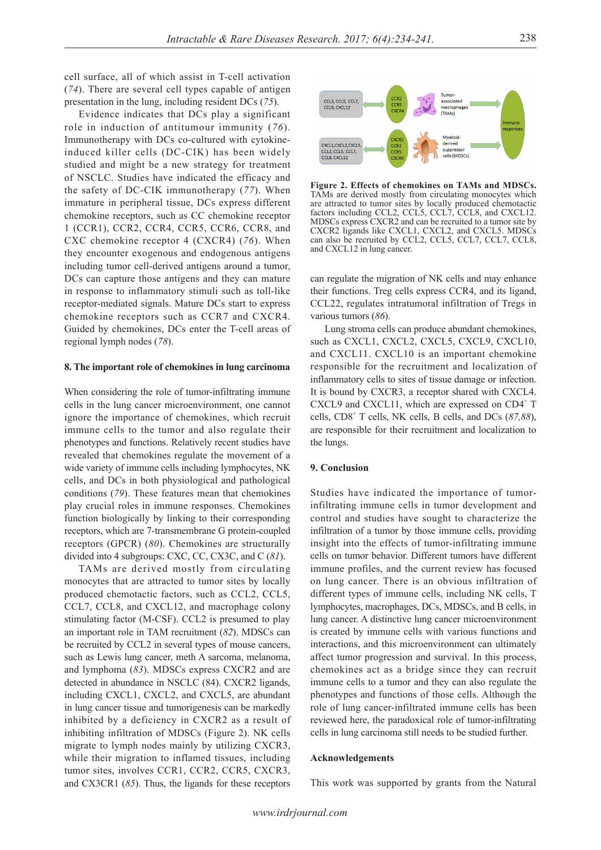cell surface, all of which assist in T-cell activation (*74*). There are several cell types capable of antigen presentation in the lung, including resident DCs (*75*).

Evidence indicates that DCs play a significant role in induction of antitumour immunity (*76*). Immunotherapy with DCs co-cultured with cytokineinduced killer cells (DC-CIK) has been widely studied and might be a new strategy for treatment of NSCLC. Studies have indicated the efficacy and the safety of DC-CIK immunotherapy (*77*). When immature in peripheral tissue, DCs express different chemokine receptors, such as CC chemokine receptor 1 (CCR1), CCR2, CCR4, CCR5, CCR6, CCR8, and CXC chemokine receptor 4 (CXCR4) (*76*). When they encounter exogenous and endogenous antigens including tumor cell-derived antigens around a tumor, DCs can capture those antigens and they can mature in response to inflammatory stimuli such as toll-like receptor-mediated signals. Mature DCs start to express chemokine receptors such as CCR7 and CXCR4. Guided by chemokines, DCs enter the T-cell areas of regional lymph nodes (*78*).

#### **8. The important role of chemokines in lung carcinoma**

When considering the role of tumor-infiltrating immune cells in the lung cancer microenvironment, one cannot ignore the importance of chemokines, which recruit immune cells to the tumor and also regulate their phenotypes and functions. Relatively recent studies have revealed that chemokines regulate the movement of a wide variety of immune cells including lymphocytes, NK cells, and DCs in both physiological and pathological conditions (*79*). These features mean that chemokines play crucial roles in immune responses. Chemokines function biologically by linking to their corresponding receptors, which are 7-transmembrane G protein-coupled receptors (GPCR) (*80*). Chemokines are structurally divided into 4 subgroups: CXC, CC, CX3C, and C (*81*).

TAMs are derived mostly from circulating monocytes that are attracted to tumor sites by locally produced chemotactic factors, such as CCL2, CCL5, CCL7, CCL8, and CXCL12, and macrophage colony stimulating factor (M-CSF). CCL2 is presumed to play an important role in TAM recruitment (*82*). MDSCs can be recruited by CCL2 in several types of mouse cancers, such as Lewis lung cancer, meth A sarcoma, melanoma, and lymphoma (*83*). MDSCs express CXCR2 and are detected in abundance in NSCLC (84). CXCR2 ligands, including CXCL1, CXCL2, and CXCL5, are abundant in lung cancer tissue and tumorigenesis can be markedly inhibited by a deficiency in CXCR2 as a result of inhibiting infiltration of MDSCs (Figure 2). NK cells migrate to lymph nodes mainly by utilizing CXCR3, while their migration to inflamed tissues, including tumor sites, involves CCR1, CCR2, CCR5, CXCR3, and CX3CR1 (*85*). Thus, the ligands for these receptors



**Figure 2. Effects of chemokines on TAMs and MDSCs.**  TAMs are derived mostly from circulating monocytes which are attracted to tumor sites by locally produced chemotactic factors including CCL2, CCL5, CCL7, CCL8, and CXCL12. MDSCs express CXCR2 and can be recruited to a tumor site by CXCR2 ligands like CXCL1, CXCL2, and CXCL5. MDSCs can also be recruited by CCL2, CCL5, CCL7, CCL7, CCL8, and CXCL12 in lung cancer.

can regulate the migration of NK cells and may enhance their functions. Treg cells express CCR4, and its ligand, CCL22, regulates intratumoral infiltration of Tregs in various tumors (*86*).

Lung stroma cells can produce abundant chemokines, such as CXCL1, CXCL2, CXCL5, CXCL9, CXCL10, and CXCL11. CXCL10 is an important chemokine responsible for the recruitment and localization of inflammatory cells to sites of tissue damage or infection. It is bound by CXCR3, a receptor shared with CXCL4. CXCL9 and CXCL11, which are expressed on  $CD4^+$  T cells, CD8+ T cells, NK cells, B cells, and DCs (*87,88*), are responsible for their recruitment and localization to the lungs.

#### **9. Conclusion**

Studies have indicated the importance of tumorinfiltrating immune cells in tumor development and control and studies have sought to characterize the infiltration of a tumor by those immune cells, providing insight into the effects of tumor-infiltrating immune cells on tumor behavior. Different tumors have different immune profiles, and the current review has focused on lung cancer. There is an obvious infiltration of different types of immune cells, including NK cells, T lymphocytes, macrophages, DCs, MDSCs, and B cells, in lung cancer. A distinctive lung cancer microenvironment is created by immune cells with various functions and interactions, and this microenvironment can ultimately affect tumor progression and survival. In this process, chemokines act as a bridge since they can recruit immune cells to a tumor and they can also regulate the phenotypes and functions of those cells. Although the role of lung cancer-infiltrated immune cells has been reviewed here, the paradoxical role of tumor-infiltrating cells in lung carcinoma still needs to be studied further.

#### **Acknowledgements**

This work was supported by grants from the Natural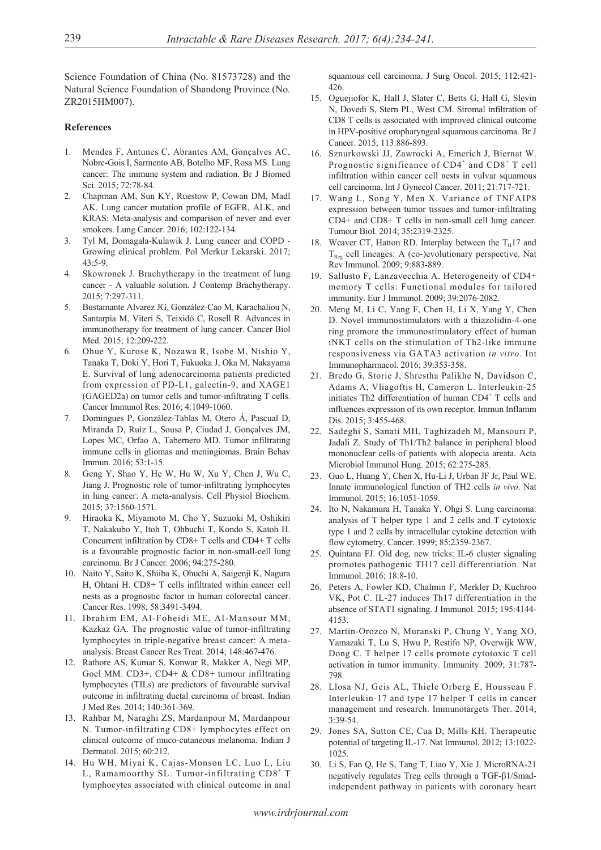Science Foundation of China (No. 81573728) and the Natural Science Foundation of Shandong Province (No. ZR2015HM007).

# **References**

- 1. Mendes F, Antunes C, Abrantes AM, Gonçalves AC, Nobre-Gois I, Sarmento AB, Botelho MF, Rosa MS. Lung cancer: The immune system and radiation. Br J Biomed Sci. 2015; 72:78-84.
- 2. Chapman AM, Sun KY, Ruestow P, Cowan DM, Madl AK. Lung cancer mutation profile of EGFR, ALK, and KRAS: Meta-analysis and comparison of never and ever smokers. Lung Cancer. 2016; 102:122-134.
- 3. Tyl M, Domagała-Kulawik J. Lung cancer and COPD Growing clinical problem. Pol Merkur Lekarski. 2017; 43:5-9.
- 4. Skowronek J. Brachytherapy in the treatment of lung cancer - A valuable solution. J Contemp Brachytherapy. 2015; 7:297-311.
- 5. Bustamante Alvarez JG, González-Cao M, Karachaliou N, Santarpia M, Viteri S, Teixidó C, Rosell R. Advances in immunotherapy for treatment of lung cancer. Cancer Biol Med. 2015; 12:209-222.
- 6. Ohue Y, Kurose K, Nozawa R, Isobe M, Nishio Y, Tanaka T, Doki Y, Hori T, Fukuoka J, Oka M, Nakayama E. Survival of lung adenocarcinoma patients predicted from expression of PD-L1, galectin-9, and XAGE1 (GAGED2a) on tumor cells and tumor-infiltrating T cells. Cancer Immunol Res. 2016; 4:1049-1060.
- 7. Domingues P, González-Tablas M, Otero Á, Pascual D, Miranda D, Ruiz L, Sousa P, Ciudad J, Gonçalves JM, Lopes MC, Orfao A, Tabernero MD. Tumor infiltrating immune cells in gliomas and meningiomas. Brain Behav Immun. 2016; 53:1-15.
- 8. Geng Y, Shao Y, He W, Hu W, Xu Y, Chen J, Wu C, Jiang J. Prognostic role of tumor-infiltrating lymphocytes in lung cancer: A meta-analysis. Cell Physiol Biochem. 2015; 37:1560-1571.
- 9. Hiraoka K, Miyamoto M, Cho Y, Suzuoki M, Oshikiri T, Nakakubo Y, Itoh T, Ohbuchi T, Kondo S, Katoh H. Concurrent infiltration by CD8+ T cells and CD4+ T cells is a favourable prognostic factor in non-small-cell lung carcinoma. Br J Cancer. 2006; 94:275-280.
- 10. Naito Y, Saito K, Shiiba K, Ohuchi A, Saigenji K, Nagura H, Ohtani H. CD8+ T cells infiltrated within cancer cell nests as a prognostic factor in human colorectal cancer. Cancer Res. 1998; 58:3491-3494.
- 11. Ibrahim EM, Al-Foheidi ME, Al-Mansour MM, Kazkaz GA. The prognostic value of tumor-infiltrating lymphocytes in triple-negative breast cancer: A metaanalysis. Breast Cancer Res Treat. 2014; 148:467-476.
- 12. Rathore AS, Kumar S, Konwar R, Makker A, Negi MP, Goel MM. CD3+, CD4+ & CD8+ tumour infiltrating lymphocytes (TILs) are predictors of favourable survival outcome in infiltrating ductal carcinoma of breast. Indian J Med Res. 2014; 140:361-369.
- 13. Rahbar M, Naraghi ZS, Mardanpour M, Mardanpour N. Tumor-infiltrating CD8+ lymphocytes effect on clinical outcome of muco-cutaneous melanoma. Indian J Dermatol. 2015; 60:212.
- 14. Hu WH, Miyai K, Cajas-Monson LC, Luo L, Liu L, Ramamoorthy SL. Tumor-infiltrating CD8+ T lymphocytes associated with clinical outcome in anal

squamous cell carcinoma. J Surg Oncol. 2015; 112:421- 426.

- 15. Oguejiofor K, Hall J, Slater C, Betts G, Hall G, Slevin N, Dovedi S, Stern PL, West CM. Stromal infiltration of CD8 T cells is associated with improved clinical outcome in HPV-positive oropharyngeal squamous carcinoma. Br J Cancer. 2015; 113:886-893.
- 16. Sznurkowski JJ, Zawrocki A, Emerich J, Biernat W. Prognostic significance of  $CD4^+$  and  $CD8^+$  T cell infiltration within cancer cell nests in vulvar squamous cell carcinoma. Int J Gynecol Cancer. 2011; 21:717-721.
- 17. Wang L, Song Y, Men X. Variance of TNFAIP8 expression between tumor tissues and tumor-infiltrating CD4+ and CD8+ T cells in non-small cell lung cancer. Tumour Biol. 2014; 35:2319-2325.
- 18. Weaver CT, Hatton RD. Interplay between the  $T_H17$  and  $T_{Reg}$  cell lineages: A (co-)evolutionary perspective. Nat Rev Immunol. 2009; 9:883-889.
- 19. Sallusto F, Lanzavecchia A. Heterogeneity of CD4+ memory T cells: Functional modules for tailored immunity. Eur J Immunol. 2009; 39:2076-2082.
- 20. Meng M, Li C, Yang F, Chen H, Li X, Yang Y, Chen D. Novel immunostimulators with a thiazolidin-4-one ring promote the immunostimulatory effect of human iNKT cells on the stimulation of Th2-like immune responsiveness via GATA3 activation *in vitro*. Int Immunopharmacol. 2016; 39:353-358.
- 21. Bredo G, Storie J, Shrestha Palikhe N, Davidson C, Adams A, Vliagoftis H, Cameron L. Interleukin-25 initiates Th2 differentiation of human CD4<sup>+</sup> T cells and influences expression of its own receptor. Immun Inflamm Dis. 2015; 3:455-468.
- 22. Sadeghi S, Sanati MH, Taghizadeh M, Mansouri P, Jadali Z. Study of Th1/Th2 balance in peripheral blood mononuclear cells of patients with alopecia areata. Acta Microbiol Immunol Hung. 2015; 62:275-285.
- 23. Guo L, Huang Y, Chen X, Hu-Li J, Urban JF Jr, Paul WE. Innate immunological function of TH2 cells *in vivo*. Nat Immunol. 2015; 16:1051-1059.
- 24. Ito N, Nakamura H, Tanaka Y, Ohgi S. Lung carcinoma: analysis of T helper type 1 and 2 cells and T cytotoxic type 1 and 2 cells by intracellular cytokine detection with flow cytometry. Cancer. 1999; 85:2359-2367.
- 25. Quintana FJ. Old dog, new tricks: IL-6 cluster signaling promotes pathogenic TH17 cell differentiation. Nat Immunol. 2016; 18:8-10.
- 26. Peters A, Fowler KD, Chalmin F, Merkler D, Kuchroo VK, Pot C. IL-27 induces Th17 differentiation in the absence of STAT1 signaling. J Immunol. 2015; 195:4144- 4153.
- 27. Martin-Orozco N, Muranski P, Chung Y, Yang XO, Yamazaki T, Lu S, Hwu P, Restifo NP, Overwijk WW, Dong C. T helper 17 cells promote cytotoxic T cell activation in tumor immunity. Immunity. 2009; 31:787- 798.
- 28. Llosa NJ, Geis AL, Thiele Orberg E, Housseau F. Interleukin-17 and type 17 helper T cells in cancer management and research. Immunotargets Ther. 2014; 3:39-54.
- 29. Jones SA, Sutton CE, Cua D, Mills KH. Therapeutic potential of targeting IL-17. Nat Immunol. 2012; 13:1022- 1025.
- 30. Li S, Fan Q, He S, Tang T, Liao Y, Xie J. MicroRNA-21 negatively regulates Treg cells through a TGF-β1/Smadindependent pathway in patients with coronary heart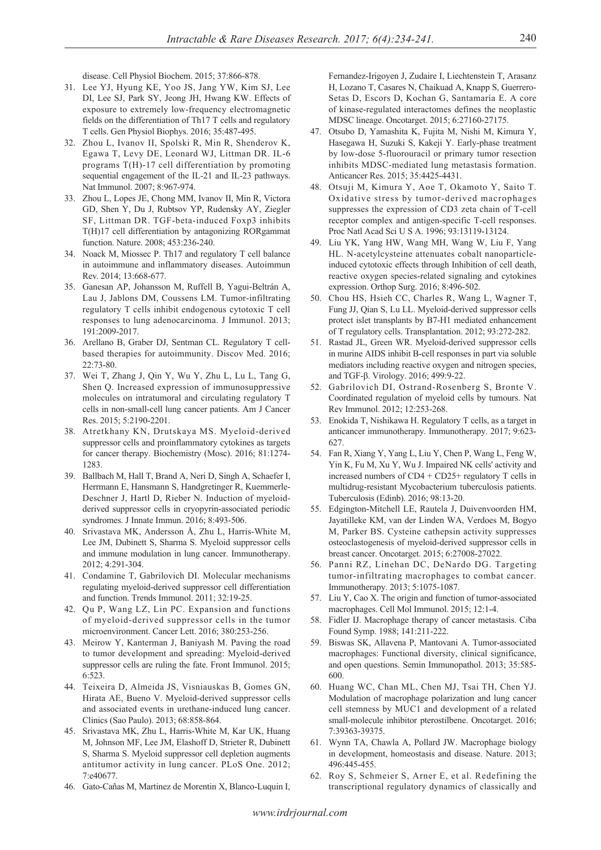disease. Cell Physiol Biochem. 2015; 37:866-878.

- 31. Lee YJ, Hyung KE, Yoo JS, Jang YW, Kim SJ, Lee DI, Lee SJ, Park SY, Jeong JH, Hwang KW. Effects of exposure to extremely low-frequency electromagnetic fields on the differentiation of Th17 T cells and regulatory T cells. Gen Physiol Biophys. 2016; 35:487-495.
- 32. Zhou L, Ivanov II, Spolski R, Min R, Shenderov K, Egawa T, Levy DE, Leonard WJ, Littman DR. IL-6 programs T(H)-17 cell differentiation by promoting sequential engagement of the IL-21 and IL-23 pathways. Nat Immunol. 2007; 8:967-974.
- 33. Zhou L, Lopes JE, Chong MM, Ivanov II, Min R, Victora GD, Shen Y, Du J, Rubtsov YP, Rudensky AY, Ziegler SF, Littman DR. TGF-beta-induced Foxp3 inhibits T(H)17 cell differentiation by antagonizing RORgammat function. Nature. 2008; 453:236-240.
- 34. Noack M, Miossec P. Th17 and regulatory T cell balance in autoimmune and inflammatory diseases. Autoimmun Rev. 2014; 13:668-677.
- 35. Ganesan AP, Johansson M, Ruffell B, Yagui-Beltrán A, Lau J, Jablons DM, Coussens LM. Tumor-infiltrating regulatory T cells inhibit endogenous cytotoxic T cell responses to lung adenocarcinoma. J Immunol. 2013; 191:2009-2017.
- 36. Arellano B, Graber DJ, Sentman CL. Regulatory T cellbased therapies for autoimmunity. Discov Med. 2016; 22:73-80.
- 37. Wei T, Zhang J, Qin Y, Wu Y, Zhu L, Lu L, Tang G, Shen Q. Increased expression of immunosuppressive molecules on intratumoral and circulating regulatory T cells in non-small-cell lung cancer patients. Am J Cancer Res. 2015; 5:2190-2201.
- 38. Atretkhany KN, Drutskaya MS. Myeloid-derived suppressor cells and proinflammatory cytokines as targets for cancer therapy. Biochemistry (Mosc). 2016; 81:1274- 1283.
- 39. Ballbach M, Hall T, Brand A, Neri D, Singh A, Schaefer I, Herrmann E, Hansmann S, Handgretinger R, Kuemmerle-Deschner J, Hartl D, Rieber N. Induction of myeloidderived suppressor cells in cryopyrin-associated periodic syndromes. J Innate Immun. 2016; 8:493-506.
- 40. Srivastava MK, Andersson Å, Zhu L, Harris-White M, Lee JM, Dubinett S, Sharma S. Myeloid suppressor cells and immune modulation in lung cancer. Immunotherapy. 2012; 4:291-304.
- 41. Condamine T, Gabrilovich DI. Molecular mechanisms regulating myeloid-derived suppressor cell differentiation and function. Trends Immunol. 2011; 32:19-25.
- 42. Qu P, Wang LZ, Lin PC. Expansion and functions of myeloid-derived suppressor cells in the tumor microenvironment. Cancer Lett. 2016; 380:253-256.
- 43. Meirow Y, Kanterman J, Baniyash M. Paving the road to tumor development and spreading: Myeloid-derived suppressor cells are ruling the fate. Front Immunol. 2015; 6:523.
- 44. Teixeira D, Almeida JS, Visniauskas B, Gomes GN, Hirata AE, Bueno V. Myeloid-derived suppressor cells and associated events in urethane-induced lung cancer. Clinics (Sao Paulo). 2013; 68:858-864.
- 45. Srivastava MK, Zhu L, Harris-White M, Kar UK, Huang M, Johnson MF, Lee JM, Elashoff D, Strieter R, Dubinett S, Sharma S. Myeloid suppressor cell depletion augments antitumor activity in lung cancer. PLoS One. 2012; 7:e40677.
- 46. Gato-Cañas M, Martinez de Morentin X, Blanco-Luquin I,

Fernandez-Irigoyen J, Zudaire I, Liechtenstein T, Arasanz H, Lozano T, Casares N, Chaikuad A, Knapp S, Guerrero-Setas D, Escors D, Kochan G, Santamaría E. A core of kinase-regulated interactomes defines the neoplastic MDSC lineage. Oncotarget. 2015; 6:27160-27175.

- 47. Otsubo D, Yamashita K, Fujita M, Nishi M, Kimura Y, Hasegawa H, Suzuki S, Kakeji Y. Early-phase treatment by low-dose 5-fluorouracil or primary tumor resection inhibits MDSC-mediated lung metastasis formation. Anticancer Res. 2015; 35:4425-4431.
- 48. Otsuji M, Kimura Y, Aoe T, Okamoto Y, Saito T. Oxidative stress by tumor-derived macrophages suppresses the expression of CD3 zeta chain of T-cell receptor complex and antigen-specific T-cell responses. Proc Natl Acad Sci U S A. 1996; 93:13119-13124.
- 49. Liu YK, Yang HW, Wang MH, Wang W, Liu F, Yang HL. N-acetylcysteine attenuates cobalt nanoparticleinduced cytotoxic effects through Inhibition of cell death, reactive oxygen species-related signaling and cytokines expression. Orthop Surg. 2016; 8:496-502.
- 50. Chou HS, Hsieh CC, Charles R, Wang L, Wagner T, Fung JJ, Qian S, Lu LL. Myeloid-derived suppressor cells protect islet transplants by B7-H1 mediated enhancement of T regulatory cells. Transplantation. 2012; 93:272-282.
- 51. Rastad JL, Green WR. Myeloid-derived suppressor cells in murine AIDS inhibit B-cell responses in part via soluble mediators including reactive oxygen and nitrogen species, and TGF-β. Virology. 2016; 499:9-22.
- 52. Gabrilovich DI, Ostrand-Rosenberg S, Bronte V. Coordinated regulation of myeloid cells by tumours. Nat Rev Immunol. 2012; 12:253-268.
- 53. Enokida T, Nishikawa H. Regulatory T cells, as a target in anticancer immunotherapy. Immunotherapy. 2017; 9:623- 627.
- 54. Fan R, Xiang Y, Yang L, Liu Y, Chen P, Wang L, Feng W, Yin K, Fu M, Xu Y, Wu J. Impaired NK cells' activity and increased numbers of CD4 + CD25+ regulatory T cells in multidrug-resistant Mycobacterium tuberculosis patients. Tuberculosis (Edinb). 2016; 98:13-20.
- 55. Edgington-Mitchell LE, Rautela J, Duivenvoorden HM, Jayatilleke KM, van der Linden WA, Verdoes M, Bogyo M, Parker BS. Cysteine cathepsin activity suppresses osteoclastogenesis of myeloid-derived suppressor cells in breast cancer. Oncotarget. 2015; 6:27008-27022.
- 56. Panni RZ, Linehan DC, DeNardo DG. Targeting tumor-infiltrating macrophages to combat cancer. Immunotherapy. 2013; 5:1075-1087.
- 57. Liu Y, Cao X. The origin and function of tumor-associated macrophages. Cell Mol Immunol. 2015; 12:1-4.
- 58. Fidler IJ. Macrophage therapy of cancer metastasis. Ciba Found Symp. 1988; 141:211-222.
- 59. Biswas SK, Allavena P, Mantovani A. Tumor-associated macrophages: Functional diversity, clinical significance, and open questions. Semin Immunopathol. 2013; 35:585- 600.
- 60. Huang WC, Chan ML, Chen MJ, Tsai TH, Chen YJ. Modulation of macrophage polarization and lung cancer cell stemness by MUC1 and development of a related small-molecule inhibitor pterostilbene. Oncotarget. 2016; 7:39363-39375.
- 61. Wynn TA, Chawla A, Pollard JW. Macrophage biology in development, homeostasis and disease. Nature. 2013; 496:445-455.
- 62. Roy S, Schmeier S, Arner E, et al. Redefining the transcriptional regulatory dynamics of classically and